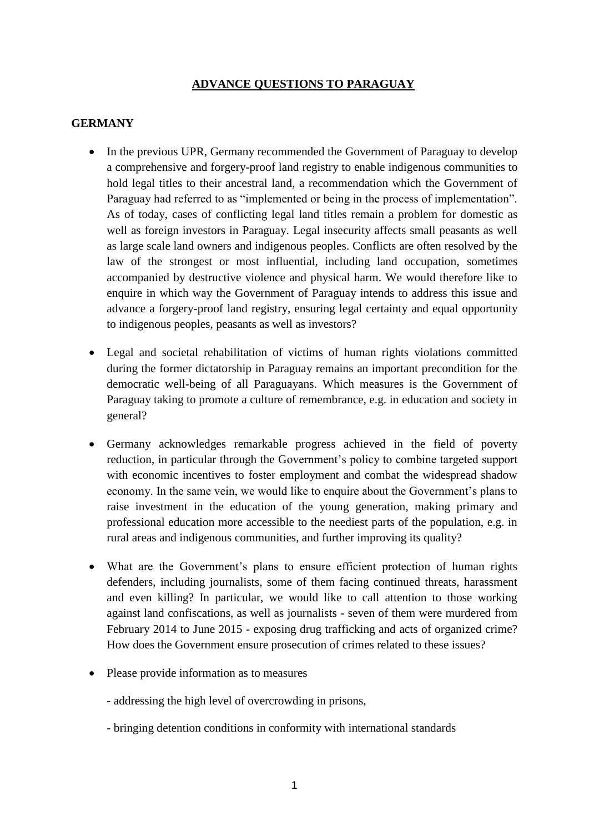# **ADVANCE QUESTIONS TO PARAGUAY**

#### **GERMANY**

- In the previous UPR, Germany recommended the Government of Paraguay to develop a comprehensive and forgery-proof land registry to enable indigenous communities to hold legal titles to their ancestral land, a recommendation which the Government of Paraguay had referred to as "implemented or being in the process of implementation". As of today, cases of conflicting legal land titles remain a problem for domestic as well as foreign investors in Paraguay. Legal insecurity affects small peasants as well as large scale land owners and indigenous peoples. Conflicts are often resolved by the law of the strongest or most influential, including land occupation, sometimes accompanied by destructive violence and physical harm. We would therefore like to enquire in which way the Government of Paraguay intends to address this issue and advance a forgery-proof land registry, ensuring legal certainty and equal opportunity to indigenous peoples, peasants as well as investors?
- Legal and societal rehabilitation of victims of human rights violations committed during the former dictatorship in Paraguay remains an important precondition for the democratic well-being of all Paraguayans. Which measures is the Government of Paraguay taking to promote a culture of remembrance, e.g. in education and society in general?
- Germany acknowledges remarkable progress achieved in the field of poverty reduction, in particular through the Government's policy to combine targeted support with economic incentives to foster employment and combat the widespread shadow economy. In the same vein, we would like to enquire about the Government's plans to raise investment in the education of the young generation, making primary and professional education more accessible to the neediest parts of the population, e.g. in rural areas and indigenous communities, and further improving its quality?
- What are the Government's plans to ensure efficient protection of human rights defenders, including journalists, some of them facing continued threats, harassment and even killing? In particular, we would like to call attention to those working against land confiscations, as well as journalists - seven of them were murdered from February 2014 to June 2015 - exposing drug trafficking and acts of organized crime? How does the Government ensure prosecution of crimes related to these issues?
- Please provide information as to measures
	- addressing the high level of overcrowding in prisons,
	- bringing detention conditions in conformity with international standards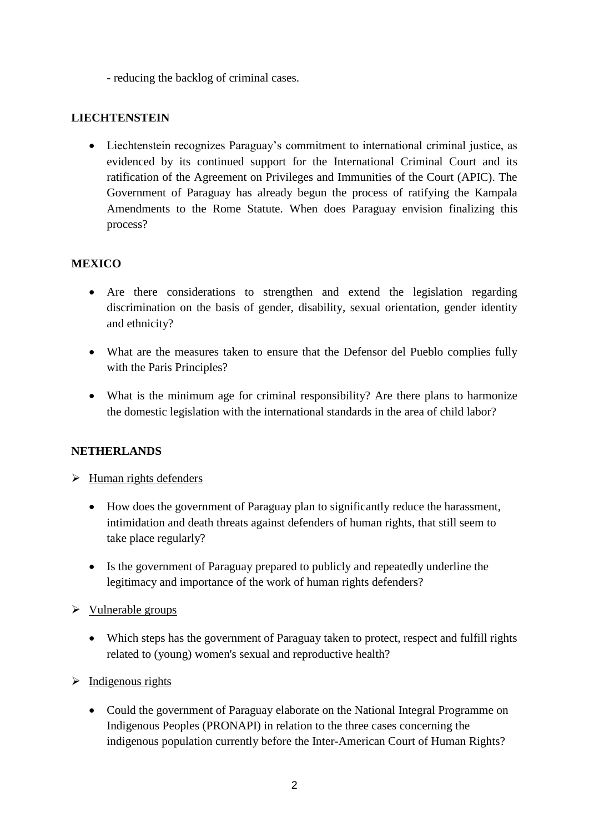- reducing the backlog of criminal cases.

# **LIECHTENSTEIN**

 Liechtenstein recognizes Paraguay's commitment to international criminal justice, as evidenced by its continued support for the International Criminal Court and its ratification of the Agreement on Privileges and Immunities of the Court (APIC). The Government of Paraguay has already begun the process of ratifying the Kampala Amendments to the Rome Statute. When does Paraguay envision finalizing this process?

# **MEXICO**

- Are there considerations to strengthen and extend the legislation regarding discrimination on the basis of gender, disability, sexual orientation, gender identity and ethnicity?
- What are the measures taken to ensure that the Defensor del Pueblo complies fully with the Paris Principles?
- What is the minimum age for criminal responsibility? Are there plans to harmonize the domestic legislation with the international standards in the area of child labor?

#### **NETHERLANDS**

- $\triangleright$  Human rights defenders
	- How does the government of Paraguay plan to significantly reduce the harassment, intimidation and death threats against defenders of human rights, that still seem to take place regularly?
	- Is the government of Paraguay prepared to publicly and repeatedly underline the legitimacy and importance of the work of human rights defenders?
- $\triangleright$  Vulnerable groups
	- Which steps has the government of Paraguay taken to protect, respect and fulfill rights related to (young) women's sexual and reproductive health?

#### $\triangleright$  Indigenous rights

• Could the government of Paraguay elaborate on the National Integral Programme on Indigenous Peoples (PRONAPI) in relation to the three cases concerning the indigenous population currently before the Inter-American Court of Human Rights?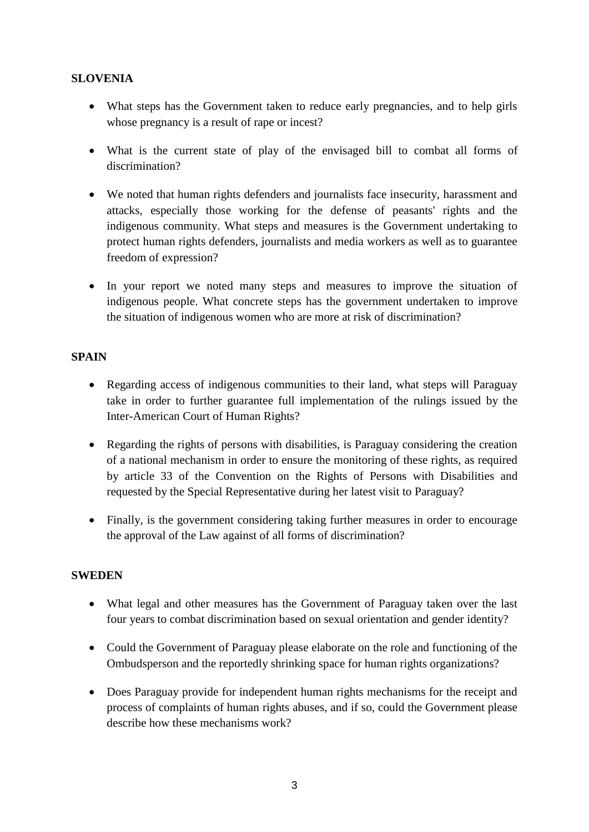# **SLOVENIA**

- What steps has the Government taken to reduce early pregnancies, and to help girls whose pregnancy is a result of rape or incest?
- What is the current state of play of the envisaged bill to combat all forms of discrimination?
- We noted that human rights defenders and journalists face insecurity, harassment and attacks, especially those working for the defense of peasants' rights and the indigenous community. What steps and measures is the Government undertaking to protect human rights defenders, journalists and media workers as well as to guarantee freedom of expression?
- In your report we noted many steps and measures to improve the situation of indigenous people. What concrete steps has the government undertaken to improve the situation of indigenous women who are more at risk of discrimination?

#### **SPAIN**

- Regarding access of indigenous communities to their land, what steps will Paraguay take in order to further guarantee full implementation of the rulings issued by the Inter-American Court of Human Rights?
- Regarding the rights of persons with disabilities, is Paraguay considering the creation of a national mechanism in order to ensure the monitoring of these rights, as required by article 33 of the Convention on the Rights of Persons with Disabilities and requested by the Special Representative during her latest visit to Paraguay?
- Finally, is the government considering taking further measures in order to encourage the approval of the Law against of all forms of discrimination?

# **SWEDEN**

- What legal and other measures has the Government of Paraguay taken over the last four years to combat discrimination based on sexual orientation and gender identity?
- Could the Government of Paraguay please elaborate on the role and functioning of the Ombudsperson and the reportedly shrinking space for human rights organizations?
- Does Paraguay provide for independent human rights mechanisms for the receipt and process of complaints of human rights abuses, and if so, could the Government please describe how these mechanisms work?